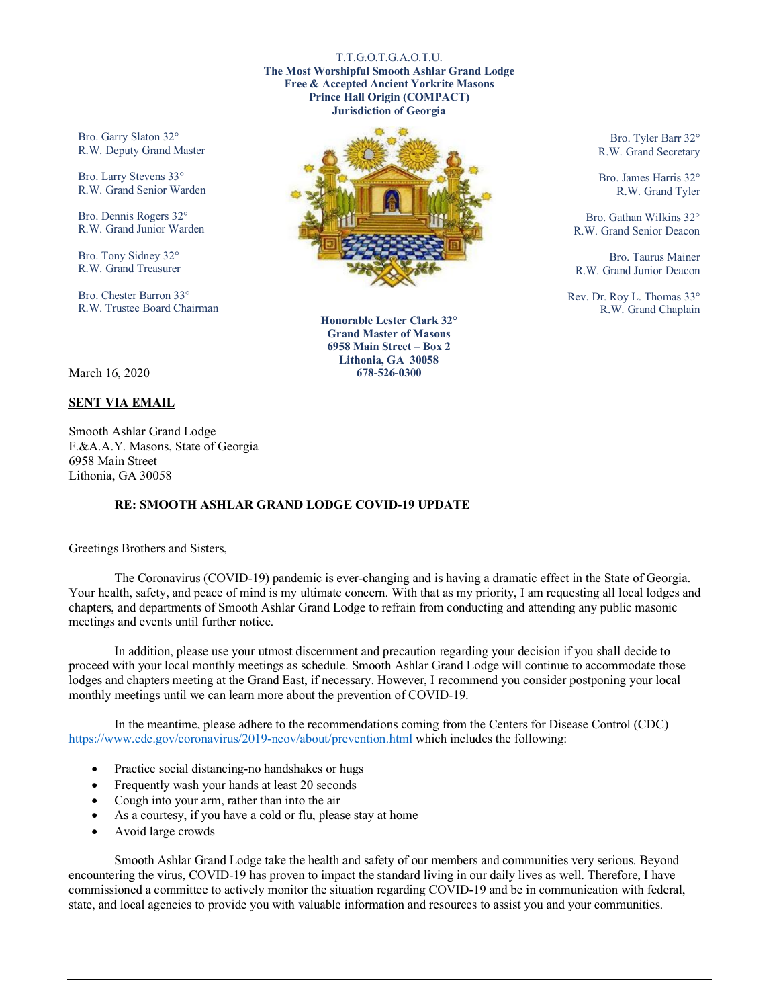## T.T.G.O.T.G.A.O.T.U.

**The Most Worshipful Smooth Ashlar Grand Lodge Free & Accepted Ancient Yorkrite Masons Prince Hall Origin (COMPACT) Jurisdiction of Georgia**

Bro. Garry Slaton 32° R.W. Deputy Grand Master

Bro. Larry Stevens 33° R.W. Grand Senior Warden

Bro. Dennis Rogers 32° R.W. Grand Junior Warden

Bro. Tony Sidney 32° R.W. Grand Treasurer

Bro. Chester Barron 33° R.W. Trustee Board Chairman



**Honorable Lester Clark 32° Grand Master of Masons 6958 Main Street – Box 2 Lithonia, GA 30058 678-526-0300**

Bro. Tyler Barr 32° R.W. Grand Secretary

Bro. James Harris 32° R.W. Grand Tyler

Bro. Gathan Wilkins 32° R.W. Grand Senior Deacon

Bro. Taurus Mainer R.W. Grand Junior Deacon

Rev. Dr. Roy L. Thomas 33° R.W. Grand Chaplain

## March 16, 2020

## **SENT VIA EMAIL**

Smooth Ashlar Grand Lodge F.&A.A.Y. Masons, State of Georgia 6958 Main Street Lithonia, GA 30058

## **RE: SMOOTH ASHLAR GRAND LODGE COVID-19 UPDATE**

Greetings Brothers and Sisters,

The Coronavirus (COVID-19) pandemic is ever-changing and is having a dramatic effect in the State of Georgia. Your health, safety, and peace of mind is my ultimate concern. With that as my priority, I am requesting all local lodges and chapters, and departments of Smooth Ashlar Grand Lodge to refrain from conducting and attending any public masonic meetings and events until further notice.

In addition, please use your utmost discernment and precaution regarding your decision if you shall decide to proceed with your local monthly meetings as schedule. Smooth Ashlar Grand Lodge will continue to accommodate those lodges and chapters meeting at the Grand East, if necessary. However, I recommend you consider postponing your local monthly meetings until we can learn more about the prevention of COVID-19.

In the meantime, please adhere to the recommendations coming from the Centers for Disease Control (CDC) [https://www.cdc.gov/coronavirus/2019-ncov/about/prevention.html w](https://www.cdc.gov/coronavirus/2019-ncov/about/prevention.html)hich includes the following:

- Practice social distancing-no handshakes or hugs
- Frequently wash your hands at least 20 seconds
- Cough into your arm, rather than into the air
- As a courtesy, if you have a cold or flu, please stay at home
- Avoid large crowds

Smooth Ashlar Grand Lodge take the health and safety of our members and communities very serious. Beyond encountering the virus, COVID-19 has proven to impact the standard living in our daily lives as well. Therefore, I have commissioned a committee to actively monitor the situation regarding COVID-19 and be in communication with federal, state, and local agencies to provide you with valuable information and resources to assist you and your communities.